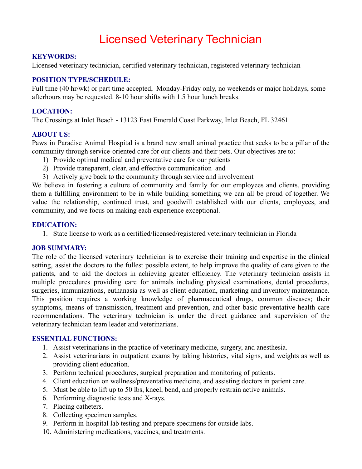# Licensed Veterinary Technician

#### **KEYWORDS:**

Licensed veterinary technician, certified veterinary technician, registered veterinary technician

# **POSITION TYPE/SCHEDULE:**

Full time (40 hr/wk) or part time accepted, Monday-Friday only, no weekends or major holidays, some afterhours may be requested. 8-10 hour shifts with 1.5 hour lunch breaks.

# **LOCATION:**

The Crossings at Inlet Beach - 13123 East Emerald Coast Parkway, Inlet Beach, FL 32461

### **ABOUT US:**

Paws in Paradise Animal Hospital is a brand new small animal practice that seeks to be a pillar of the community through service-oriented care for our clients and their pets. Our objectives are to:

- 1) Provide optimal medical and preventative care for our patients
- 2) Provide transparent, clear, and effective communication and
- 3) Actively give back to the community through service and involvement

We believe in fostering a culture of community and family for our employees and clients, providing them a fulfilling environment to be in while building something we can all be proud of together. We value the relationship, continued trust, and goodwill established with our clients, employees, and community, and we focus on making each experience exceptional.

### **EDUCATION:**

1. State license to work as a certified/licensed/registered veterinary technician in Florida

#### **JOB SUMMARY:**

The role of the licensed veterinary technician is to exercise their training and expertise in the clinical setting, assist the doctors to the fullest possible extent, to help improve the quality of care given to the patients, and to aid the doctors in achieving greater efficiency. The veterinary technician assists in multiple procedures providing care for animals including physical examinations, dental procedures, surgeries, immunizations, euthanasia as well as client education, marketing and inventory maintenance. This position requires a working knowledge of pharmaceutical drugs, common diseases; their symptoms, means of transmission, treatment and prevention, and other basic preventative health care recommendations. The veterinary technician is under the direct guidance and supervision of the veterinary technician team leader and veterinarians.

## **ESSENTIAL FUNCTIONS:**

- 1. Assist veterinarians in the practice of veterinary medicine, surgery, and anesthesia.
- 2. Assist veterinarians in outpatient exams by taking histories, vital signs, and weights as well as providing client education.
- 3. Perform technical procedures, surgical preparation and monitoring of patients.
- 4. Client education on wellness/preventative medicine, and assisting doctors in patient care.
- 5. Must be able to lift up to 50 lbs, kneel, bend, and properly restrain active animals.
- 6. Performing diagnostic tests and X-rays.
- 7. Placing catheters.
- 8. Collecting specimen samples.
- 9. Perform in-hospital lab testing and prepare specimens for outside labs.
- 10. Administering medications, vaccines, and treatments.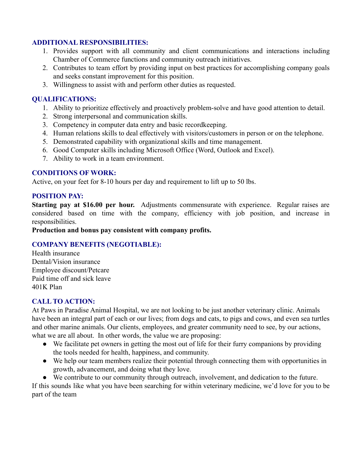# **ADDITIONAL RESPONSIBILITIES:**

- 1. Provides support with all community and client communications and interactions including Chamber of Commerce functions and community outreach initiatives.
- 2. Contributes to team effort by providing input on best practices for accomplishing company goals and seeks constant improvement for this position.
- 3. Willingness to assist with and perform other duties as requested.

## **QUALIFICATIONS:**

- 1. Ability to prioritize effectively and proactively problem-solve and have good attention to detail.
- 2. Strong interpersonal and communication skills.
- 3. Competency in computer data entry and basic recordkeeping.
- 4. Human relations skills to deal effectively with visitors/customers in person or on the telephone.
- 5. Demonstrated capability with organizational skills and time management.
- 6. Good Computer skills including Microsoft Office (Word, Outlook and Excel).
- 7. Ability to work in a team environment.

### **CONDITIONS OF WORK:**

Active, on your feet for 8-10 hours per day and requirement to lift up to 50 lbs.

### **POSITION PAY:**

**Starting pay at \$16.00 per hour.** Adjustments commensurate with experience. Regular raises are considered based on time with the company, efficiency with job position, and increase in responsibilities.

**Production and bonus pay consistent with company profits.**

## **COMPANY BENEFITS (NEGOTIABLE):**

Health insurance Dental/Vision insurance Employee discount/Petcare Paid time off and sick leave 401K Plan

## **CALL TO ACTION:**

At Paws in Paradise Animal Hospital, we are not looking to be just another veterinary clinic. Animals have been an integral part of each or our lives; from dogs and cats, to pigs and cows, and even sea turtles and other marine animals. Our clients, employees, and greater community need to see, by our actions, what we are all about. In other words, the value we are proposing:

- We facilitate pet owners in getting the most out of life for their furry companions by providing the tools needed for health, happiness, and community.
- We help our team members realize their potential through connecting them with opportunities in growth, advancement, and doing what they love.
- We contribute to our community through outreach, involvement, and dedication to the future.

If this sounds like what you have been searching for within veterinary medicine, we'd love for you to be part of the team